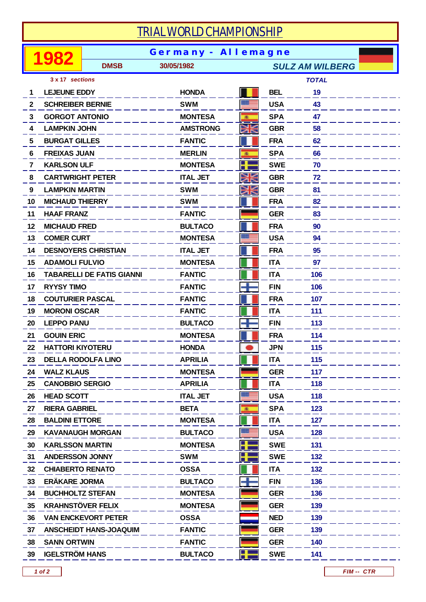## *TRIAL WORLD CHAMPIONSHIP*

|              | 982                     | <b>Germany - Allemagne</b>       |                 |   |            |                        |  |  |  |
|--------------|-------------------------|----------------------------------|-----------------|---|------------|------------------------|--|--|--|
|              |                         | <b>DMSB</b>                      | 30/05/1982      |   |            | <b>SULZ AM WILBERG</b> |  |  |  |
|              | 3 x 17 sections         |                                  |                 |   |            | <b>TOTAL</b>           |  |  |  |
| 1            | <b>LEJEUNE EDDY</b>     |                                  | <b>HONDA</b>    |   | <b>BEL</b> | 19                     |  |  |  |
| $\mathbf{2}$ | <b>SCHREIBER BERNIE</b> |                                  | <b>SWM</b>      |   | <b>USA</b> | 43                     |  |  |  |
| 3.           | <b>GORGOT ANTONIO</b>   |                                  | <b>MONTESA</b>  | 画 | <b>SPA</b> | 47                     |  |  |  |
| 4            | <b>LAMPKIN JOHN</b>     |                                  | <b>AMSTRONG</b> | Ж | <b>GBR</b> | 58                     |  |  |  |
| 5            | <b>BURGAT GILLES</b>    |                                  | <b>FANTIC</b>   |   | <b>FRA</b> | 62                     |  |  |  |
| 6            | <b>FREIXAS JUAN</b>     |                                  | <b>MERLIN</b>   | 風 | <b>SPA</b> | 66                     |  |  |  |
| 7            | <b>KARLSON ULF</b>      |                                  | <b>MONTESA</b>  | ╉ | <b>SWE</b> | 70                     |  |  |  |
| 8            | <b>CARTWRIGHT PETER</b> |                                  | <b>ITAL JET</b> | Ж | <b>GBR</b> | 72                     |  |  |  |
| 9            | <b>LAMPKIN MARTIN</b>   |                                  | <b>SWM</b>      | Ж | <b>GBR</b> | 81                     |  |  |  |
| 10           | <b>MICHAUD THIERRY</b>  |                                  | <b>SWM</b>      |   | <b>FRA</b> | 82                     |  |  |  |
| 11           | <b>HAAF FRANZ</b>       |                                  | <b>FANTIC</b>   |   | <b>GER</b> | 83                     |  |  |  |
| 12           | <b>MICHAUD FRED</b>     |                                  | <b>BULTACO</b>  |   | <b>FRA</b> | 90                     |  |  |  |
| 13           | <b>COMER CURT</b>       |                                  | <b>MONTESA</b>  |   | <b>USA</b> | 94                     |  |  |  |
| 14           |                         | <b>DESNOYERS CHRISTIAN</b>       | <b>ITAL JET</b> |   | <b>FRA</b> | 95                     |  |  |  |
| 15           | <b>ADAMOLI FULVIO</b>   |                                  | <b>MONTESA</b>  |   | <b>ITA</b> | 97                     |  |  |  |
| 16           |                         | <b>TABARELLI DE FATIS GIANNI</b> | <b>FANTIC</b>   |   | <b>ITA</b> | 106                    |  |  |  |
| 17           | <b>RYYSY TIMO</b>       |                                  | <b>FANTIC</b>   |   | <b>FIN</b> | 106                    |  |  |  |
| 18           | <b>COUTURIER PASCAL</b> |                                  | <b>FANTIC</b>   |   | <b>FRA</b> | 107                    |  |  |  |
| 19           | <b>MORONI OSCAR</b>     |                                  | <b>FANTIC</b>   |   | <b>ITA</b> | 111                    |  |  |  |
| 20           | <b>LEPPO PANU</b>       |                                  | <b>BULTACO</b>  |   | <b>FIN</b> | 113                    |  |  |  |
| 21           | <b>GOUIN ERIC</b>       |                                  | <b>MONTESA</b>  |   | <b>FRA</b> | 114                    |  |  |  |
| 22           | <b>HATTORI KIYOTERU</b> |                                  | <b>HONDA</b>    |   | <b>JPN</b> | 115                    |  |  |  |
| 23           |                         | <b>DELLA RODOLFA LINO</b>        | <b>APRILIA</b>  |   | <b>ITA</b> | 115                    |  |  |  |
| 24           | <b>WALZ KLAUS</b>       |                                  | <b>MONTESA</b>  |   | <b>GER</b> | 117                    |  |  |  |
| 25           | <b>CANOBBIO SERGIO</b>  |                                  | <b>APRILIA</b>  |   | <b>ITA</b> | 118                    |  |  |  |
| 26           | <b>HEAD SCOTT</b>       |                                  | <b>ITAL JET</b> |   | <b>USA</b> | 118                    |  |  |  |
| 27           | <b>RIERA GABRIEL</b>    |                                  | <b>BETA</b>     | 画 | <b>SPA</b> | 123                    |  |  |  |
| 28           | <b>BALDINI ETTORE</b>   |                                  | <b>MONTESA</b>  |   | <b>ITA</b> | 127                    |  |  |  |
| 29           |                         | <b>KAVANAUGH MORGAN</b>          | <b>BULTACO</b>  |   | <b>USA</b> | 128                    |  |  |  |
| 30           | <b>KARLSSON MARTIN</b>  |                                  | <b>MONTESA</b>  | 4 | <b>SWE</b> | 131                    |  |  |  |
| 31           | <b>ANDERSSON JONNY</b>  |                                  | <b>SWM</b>      | H | <b>SWE</b> | 132                    |  |  |  |
| 32           | <b>CHIABERTO RENATO</b> |                                  | <b>OSSA</b>     |   | <b>ITA</b> | 132                    |  |  |  |
| 33           | <b>ERÄKARE JORMA</b>    |                                  | <b>BULTACO</b>  | Ŧ | <b>FIN</b> | 136                    |  |  |  |
| 34           | <b>BUCHHOLTZ STEFAN</b> |                                  | <b>MONTESA</b>  |   | <b>GER</b> | 136                    |  |  |  |
| 35           |                         | <b>KRAHNSTÖVER FELIX</b>         | <b>MONTESA</b>  |   | <b>GER</b> | 139                    |  |  |  |
| 36           |                         | <b>VAN ENCKEVORT PETER</b>       | <b>OSSA</b>     |   | <b>NED</b> | 139                    |  |  |  |
| 37           |                         | <b>ANSCHEIDT HANS-JOAQUIM</b>    | <b>FANTIC</b>   |   | <b>GER</b> | 139                    |  |  |  |
| 38           | <b>SANN ORTWIN</b>      |                                  | <b>FANTIC</b>   |   | <b>GER</b> | 140                    |  |  |  |
| 39           | <b>IGELSTRÖM HANS</b>   |                                  | <b>BULTACO</b>  | ł | <b>SWE</b> | 141                    |  |  |  |